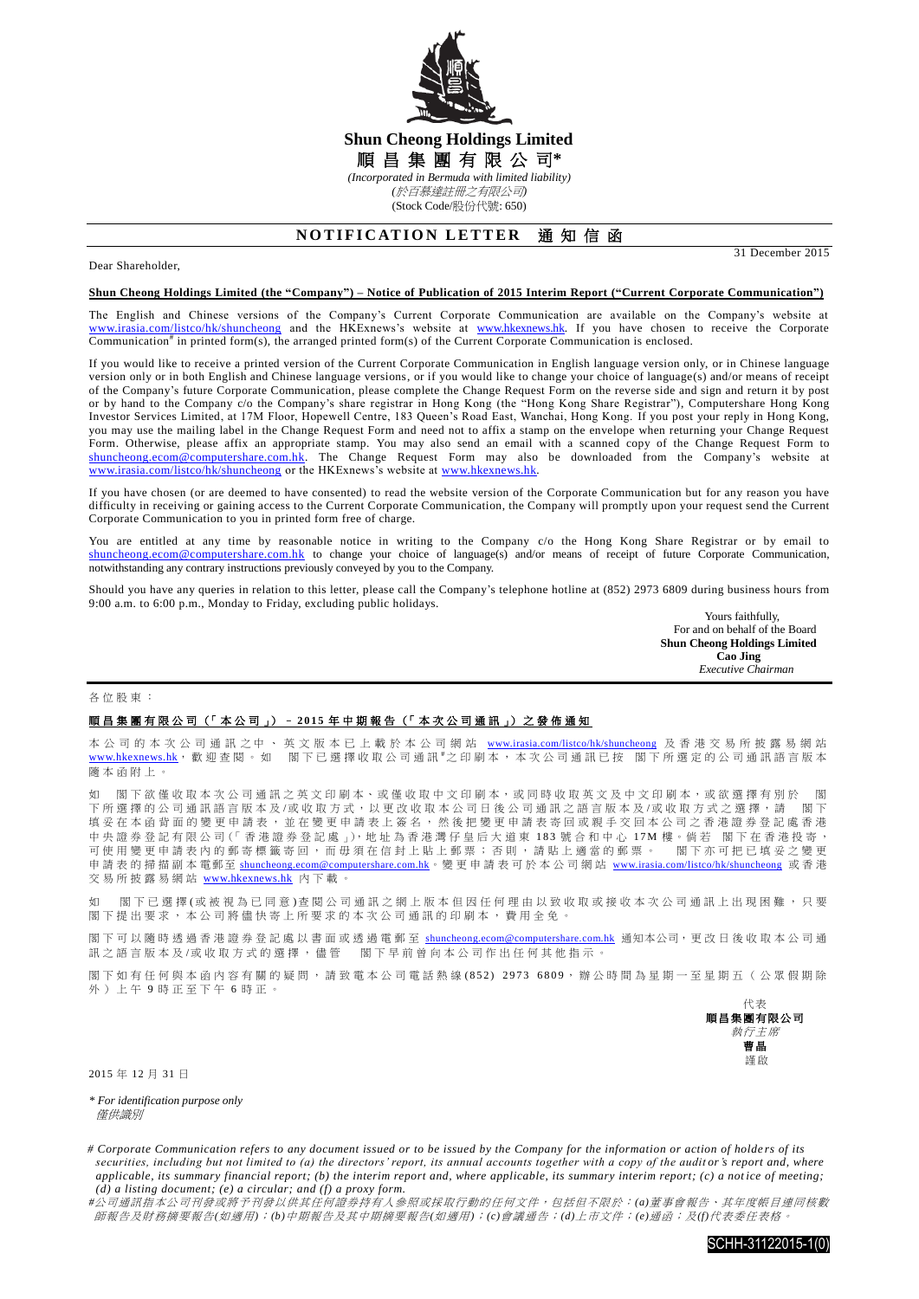

## **Shun Cheong Holdings Limited** 順 昌 集 團 有 限 公 司**\*** *(Incorporated in Bermuda with limited liability) (*於百慕達註冊之有限公司*)*

(Stock Code/股份代號: 650)

# **NOTIFICATION LETTER 通知信函**

### Dear Shareholder,

31 December 2015

#### **Shun Cheong Holdings Limited (the "Company") – Notice of Publication of 2015 Interim Report ("Current Corporate Communication")**

The English and Chinese versions of the Company's Current Corporate Communication are available on the Company's website at [www.irasia.com/listco/hk/shuncheong](http://www.irasia.com/listco/hk/shuncheong) and the HKExnews's website at [www.hkexnews.hk.](http://www.hkexnews.hk/) If you have chosen to receive the Corporate Communication<sup>#</sup> in printed form(s), the arranged printed form(s) of the Current Corporate Communication is enclosed.

If you would like to receive a printed version of the Current Corporate Communication in English language version only, or in Chinese language version only or in both English and Chinese language versions, or if you would like to change your choice of language(s) and/or means of receipt of the Company's future Corporate Communication, please complete the Change Request Form on the reverse side and sign and return it by post or by hand to the Company c/o the Company's share registrar in Hong Kong (the "Hong Kong Share Registrar"), Computershare Hong Kong Investor Services Limited, at 17M Floor, Hopewell Centre, 183 Queen's Road East, Wanchai, Hong Kong. If you post your reply in Hong Kong, you may use the mailing label in the Change Request Form and need not to affix a stamp on the envelope when returning your Change Request Form. Otherwise, please affix an appropriate stamp. You may also send an email with a scanned copy of the Change Request Form to [shuncheong.ecom@computershare.com.hk.](mailto:shuncheong.ecom@computershare.com.hk) The Change Request Form may also be downloaded from the Company's website at [www.irasia.com/listco/hk/shuncheong](http://www.irasia.com/listco/hk/shuncheong) or the HKExnews's website at [www.hkexnews.hk.](http://www.hkexnews.hk/)

If you have chosen (or are deemed to have consented) to read the website version of the Corporate Communication but for any reason you have difficulty in receiving or gaining access to the Current Corporate Communication, the Company will promptly upon your request send the Current Corporate Communication to you in printed form free of charge.

You are entitled at any time by reasonable notice in writing to the Company c/o the Hong Kong Share Registrar or by email to [shuncheong.ecom@computershare.com.hk](mailto:shuncheong.ecom@computershare.com.hk) to change your choice of language(s) and/or means of receipt of future Corporate Communication, notwithstanding any contrary instructions previously conveyed by you to the Company.

Should you have any queries in relation to this letter, please call the Company's telephone hotline at (852) 2973 6809 during business hours from 9:00 a.m. to 6:00 p.m., Monday to Friday, excluding public holidays.

> Yours faithfully, For and on behalf of the Board **Shun Cheong Holdings Limited Cao Jing**  *Executive Chairman*

#### 各位股東 :

### 順昌集團有限公司 (「 本 公 司 」) – **2 0 1 5** 年 中期報告 (「 本 次 公 司 通 訊 」) 之 發 佈 通 知

本 公 司 的 本 次 公 司 通 訊 之 中 、 英 文 版 本 已 上 載 於 本 公 司 網 站 [www.irasia.com/listco/hk/shuncheong](http://www.irasia.com/listco/hk/shuncheong) 及 香 港 交 易 所 披 露 易 網 站 [www.hkexnews.hk](http://www.hkexnews.hk/), 歡迎查閱。如 閣下已選擇收取公司通訊 #之印刷本, 本次公司通訊已按 閣下所選定的公司通訊語言版本 隨本函附上 。

閣下欲僅收取本次公司通訊之英文印刷本、或僅收取中文印刷本,或同時收取英文及中文印刷本,或欲選擇有別於 閣 下所選擇的公司通訊語言版本及/或收取方式,以更改收取本公司日後公司通訊之語言版本及/或收取方式之選擇,請 閣下 填妥在本函背面的變更申請表,並在變更申請表上簽名,然後把變更申請表寄回或親手交回本公司之香港證券登記處香港 中 央 證 券 登 記 有 限 公 司(「 香 港 證 券 登 記 處 」),地 址 為 香 港 灣 仔 皇 后 大 道 東 1 8 3 號合和中心 17M 樓。倘 若 閣 下 在 香 港 投 寄 , ,《一篇》一篇,《一篇》一卷二卷二卷》,《二篇》,二篇:"三篇》,二篇:"三篇,第二篇:"<br>可使用變更申請表內的郵寄標籤寄回,而毋須在信封上貼上郵票;否則,請貼上適當的郵票。 閣下亦可把已填妥之變更 申請表的掃描副本電郵至 [shuncheong.ecom@computershare.com.hk](mailto:shuncheong.ecom@computershare.com.hk)。變更申請表可於本公司網站 [www.irasia.com/listco/hk/shuncheong](http://www.irasia.com/listco/hk/shuncheong) 或香港 交易所披露易網站 [www.hkexnews.hk](http://www.hkexnews.hk/) 內下載。

如 閣下已 選 擇 (或 被 視 為 已 同 意 ) 查 閱 公 司 通 訊 之 網 上 版 本 但 因 任 何 理 由 以 致 收 取 或 接 收 本 次 公 司 通 訊 上 出 現 困 難 ,只 要 閣下提出要求,本公司將儘快寄上所要求的本次公司通訊的印刷本,費用全免。

閣下可以隨時透過香港證券登記處以書面或透過電郵至 [shuncheong.ecom@computershare.com.hk](mailto:shuncheong.ecom@computershare.com.hk) 通知本公司,更改日後收取本公司通 訊之語言版本及/或收取方式的選擇, 儘管 閣下早前曾向本公司作出任何其他指示。

閣下如有任何與本函內容有關的疑問,請致電本公司電話熱線(852) 2973 6809,辦公時間為星期一至星期五(公眾假期除 外)上午 9 時正至下午 6 時正。



2015 年 12 月 31 日

*\* For identification purpose only* 僅供識別

*# Corporate Communication refers to any document issued or to be issued by the Company for the information or action of holde rs of its securities, including but not limited to (a) the directors' report, its annual accounts together with a copy of the auditor's report and, where applicable, its summary financial report; (b) the interim report and, where applicable, its summary interim report; (c) a notice of meeting; (d) a listing document; (e) a circular; and (f) a proxy form.*

*#*公司通訊指本公司刊發或將予刊發以供其任何證券持有人參照或採取行動的任何文件,包括但不限於:*(a)*董事會報告、其年度帳目連同核數 師報告及財務摘要報告*(*如適用*)*;*(b)*中期報告及其中期摘要報告*(*如適用*)*;*(c)*會議通告;*(d)*上市文件;*(e)*通函;及*(f)*代表委任表格。